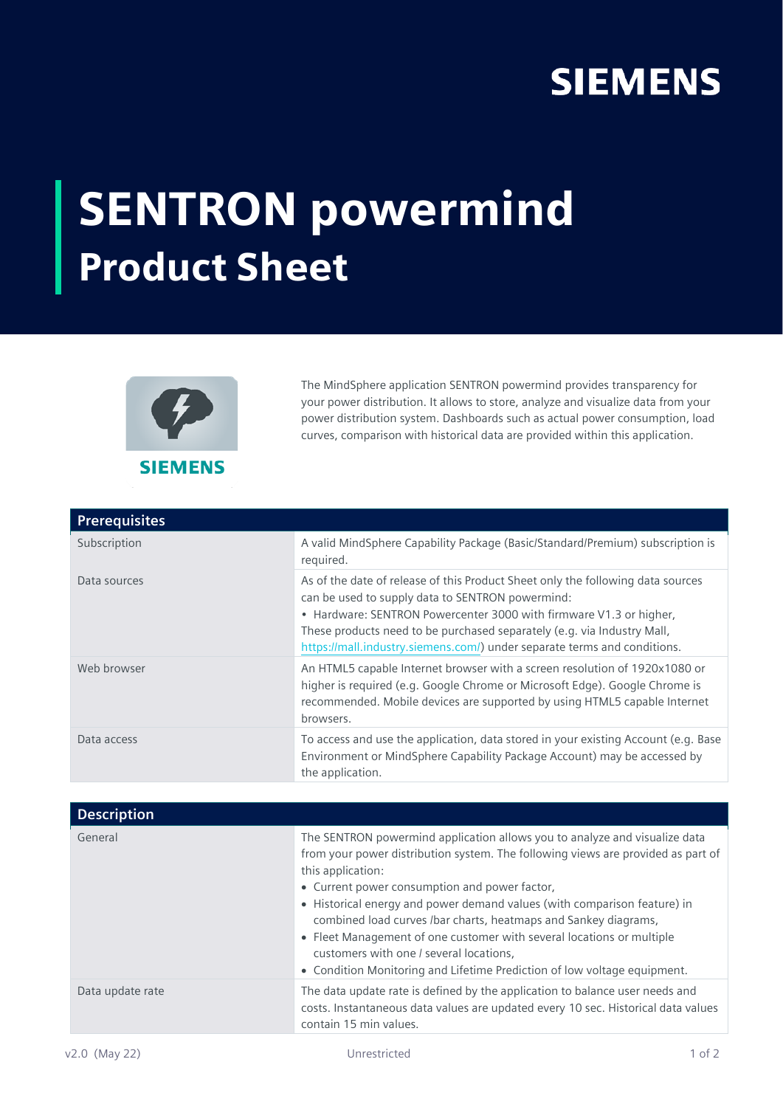## **SIEMENS**

## SENTRON powermind Product Sheet



The MindSphere application SENTRON powermind provides transparency for your power distribution. It allows to store, analyze and visualize data from your power distribution system. Dashboards such as actual power consumption, load curves, comparison with historical data are provided within this application.

| <b>Prerequisites</b> |                                                                                                                                                                                                                                                                                                                                                                  |
|----------------------|------------------------------------------------------------------------------------------------------------------------------------------------------------------------------------------------------------------------------------------------------------------------------------------------------------------------------------------------------------------|
| Subscription         | A valid MindSphere Capability Package (Basic/Standard/Premium) subscription is<br>required.                                                                                                                                                                                                                                                                      |
| Data sources         | As of the date of release of this Product Sheet only the following data sources<br>can be used to supply data to SENTRON powermind:<br>• Hardware: SENTRON Powercenter 3000 with firmware V1.3 or higher,<br>These products need to be purchased separately (e.g. via Industry Mall,<br>https://mall.industry.siemens.com/) under separate terms and conditions. |
| Web browser          | An HTML5 capable Internet browser with a screen resolution of 1920x1080 or<br>higher is required (e.g. Google Chrome or Microsoft Edge). Google Chrome is<br>recommended. Mobile devices are supported by using HTML5 capable Internet<br>browsers.                                                                                                              |
| Data access          | To access and use the application, data stored in your existing Account (e.g. Base<br>Environment or MindSphere Capability Package Account) may be accessed by<br>the application.                                                                                                                                                                               |

| <b>Description</b> |                                                                                                                                                                                                                                                                                                                                                                                                                                                                                                                                                                                     |
|--------------------|-------------------------------------------------------------------------------------------------------------------------------------------------------------------------------------------------------------------------------------------------------------------------------------------------------------------------------------------------------------------------------------------------------------------------------------------------------------------------------------------------------------------------------------------------------------------------------------|
| General            | The SENTRON powermind application allows you to analyze and visualize data<br>from your power distribution system. The following views are provided as part of<br>this application:<br>• Current power consumption and power factor,<br>• Historical energy and power demand values (with comparison feature) in<br>combined load curves /bar charts, heatmaps and Sankey diagrams,<br>• Fleet Management of one customer with several locations or multiple<br>customers with one / several locations,<br>• Condition Monitoring and Lifetime Prediction of low voltage equipment. |
| Data update rate   | The data update rate is defined by the application to balance user needs and<br>costs. Instantaneous data values are updated every 10 sec. Historical data values<br>contain 15 min values.                                                                                                                                                                                                                                                                                                                                                                                         |